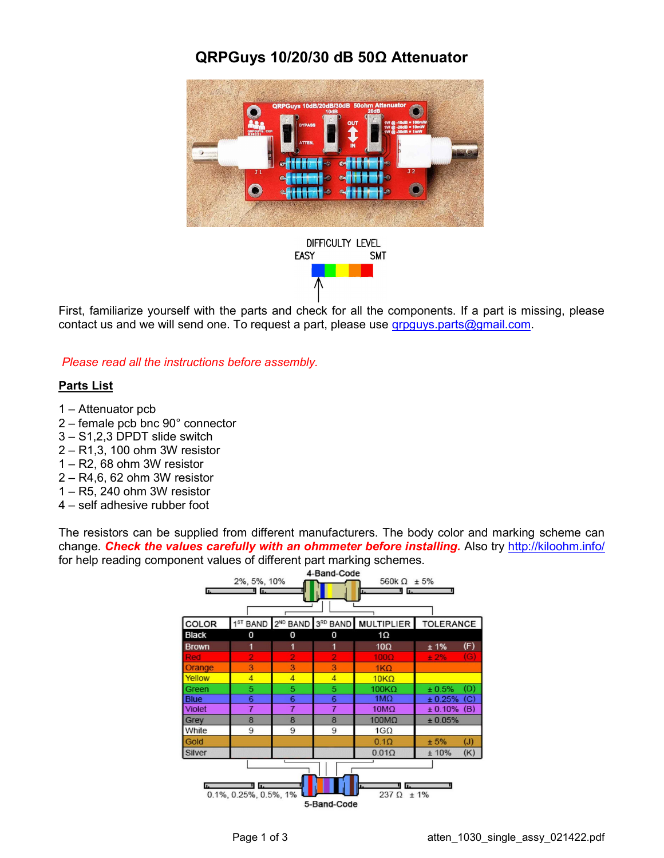## QRPGuys 10/20/30 dB 50Ω Attenuator



DIFFICULTY LEVEL **EASY SMT** 

First, familiarize yourself with the parts and check for all the components. If a part is missing, please contact us and we will send one. To request a part, please use grpguys.parts@gmail.com.

Please read all the instructions before assembly.

## Parts List

- 1 Attenuator pcb
- 2 female pcb bnc 90° connector
- 3 S1,2,3 DPDT slide switch
- 2 R1,3, 100 ohm 3W resistor
- 1 R2, 68 ohm 3W resistor
- 2 R4,6, 62 ohm 3W resistor
- 1 R5, 240 ohm 3W resistor
- 4 self adhesive rubber foot

The resistors can be supplied from different manufacturers. The body color and marking scheme can change. Check the values carefully with an ohmmeter before installing. Also try http://kiloohm.info/ for help reading component values of different part marking schemes.<br>4-Band-Code

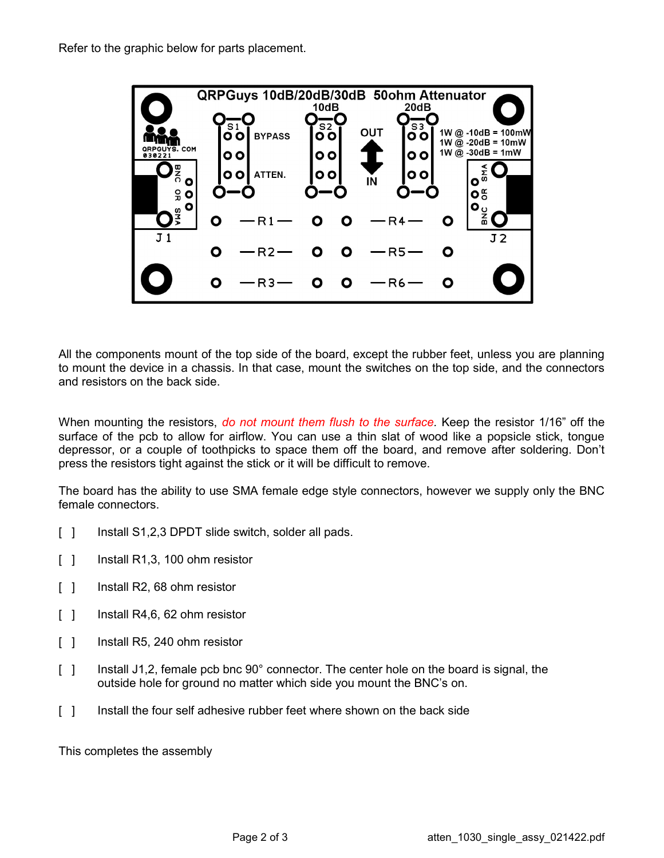

All the components mount of the top side of the board, except the rubber feet, unless you are planning to mount the device in a chassis. In that case, mount the switches on the top side, and the connectors and resistors on the back side.

When mounting the resistors, do not mount them flush to the surface. Keep the resistor 1/16" off the surface of the pcb to allow for airflow. You can use a thin slat of wood like a popsicle stick, tongue depressor, or a couple of toothpicks to space them off the board, and remove after soldering. Don't press the resistors tight against the stick or it will be difficult to remove.

The board has the ability to use SMA female edge style connectors, however we supply only the BNC female connectors.

- [ ] Install S1,2,3 DPDT slide switch, solder all pads.
- [ ] Install R1,3, 100 ohm resistor
- [ ] Install R2, 68 ohm resistor
- [ ] Install R4,6, 62 ohm resistor
- [ ] Install R5, 240 ohm resistor
- [ ] Install J1,2, female pcb bnc 90° connector. The center hole on the board is signal, the outside hole for ground no matter which side you mount the BNC's on.
- [ ] Install the four self adhesive rubber feet where shown on the back side

This completes the assembly